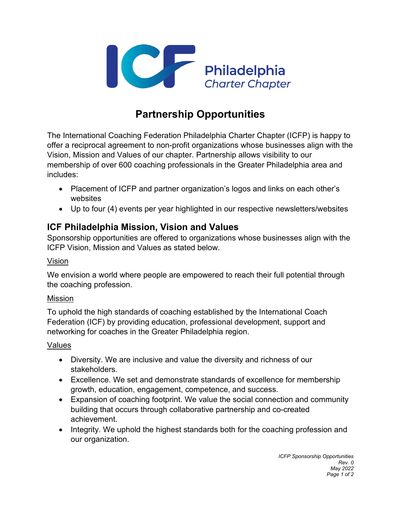

# **Partnership Opportunities**

The International Coaching Federation Philadelphia Charter Chapter (ICFP) is happy to offer a reciprocal agreement to non-profit organizations whose businesses align with the Vision, Mission and Values of our chapter. Partnership allows visibility to our membership of over 600 coaching professionals in the Greater Philadelphia area and includes:

- Placement of ICFP and partner organization's logos and links on each other's websites
- Up to four (4) events per year highlighted in our respective newsletters/websites

### **ICF Philadelphia Mission, Vision and Values**

Sponsorship opportunities are offered to organizations whose businesses align with the ICFP Vision, Mission and Values as stated below.

#### Vision

We envision a world where people are empowered to reach their full potential through the coaching profession.

#### Mission

To uphold the high standards of coaching established by the International Coach Federation (ICF) by providing education, professional development, support and networking for coaches in the Greater Philadelphia region.

#### Values

- Diversity. We are inclusive and value the diversity and richness of our stakeholders.
- Excellence. We set and demonstrate standards of excellence for membership growth, education, engagement, competence, and success.
- Expansion of coaching footprint. We value the social connection and community building that occurs through collaborative partnership and co-created achievement.
- Integrity. We uphold the highest standards both for the coaching profession and our organization.